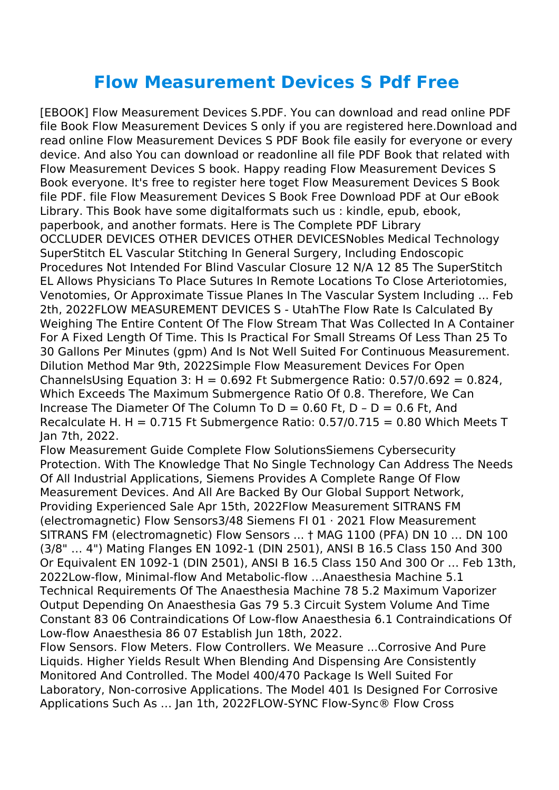## **Flow Measurement Devices S Pdf Free**

[EBOOK] Flow Measurement Devices S.PDF. You can download and read online PDF file Book Flow Measurement Devices S only if you are registered here.Download and read online Flow Measurement Devices S PDF Book file easily for everyone or every device. And also You can download or readonline all file PDF Book that related with Flow Measurement Devices S book. Happy reading Flow Measurement Devices S Book everyone. It's free to register here toget Flow Measurement Devices S Book file PDF. file Flow Measurement Devices S Book Free Download PDF at Our eBook Library. This Book have some digitalformats such us : kindle, epub, ebook, paperbook, and another formats. Here is The Complete PDF Library OCCLUDER DEVICES OTHER DEVICES OTHER DEVICESNobles Medical Technology SuperStitch EL Vascular Stitching In General Surgery, Including Endoscopic Procedures Not Intended For Blind Vascular Closure 12 N/A 12 85 The SuperStitch EL Allows Physicians To Place Sutures In Remote Locations To Close Arteriotomies, Venotomies, Or Approximate Tissue Planes In The Vascular System Including ... Feb 2th, 2022FLOW MEASUREMENT DEVICES S - UtahThe Flow Rate Is Calculated By Weighing The Entire Content Of The Flow Stream That Was Collected In A Container For A Fixed Length Of Time. This Is Practical For Small Streams Of Less Than 25 To 30 Gallons Per Minutes (gpm) And Is Not Well Suited For Continuous Measurement. Dilution Method Mar 9th, 2022Simple Flow Measurement Devices For Open ChannelsUsing Equation 3: H =  $0.692$  Ft Submergence Ratio:  $0.57/0.692 = 0.824$ , Which Exceeds The Maximum Submergence Ratio Of 0.8. Therefore, We Can Increase The Diameter Of The Column To  $D = 0.60$  Ft,  $D - D = 0.6$  Ft, And Recalculate H. H =  $0.715$  Ft Submergence Ratio:  $0.57/0.715 = 0.80$  Which Meets T Jan 7th, 2022.

Flow Measurement Guide Complete Flow SolutionsSiemens Cybersecurity Protection. With The Knowledge That No Single Technology Can Address The Needs Of All Industrial Applications, Siemens Provides A Complete Range Of Flow Measurement Devices. And All Are Backed By Our Global Support Network, Providing Experienced Sale Apr 15th, 2022Flow Measurement SITRANS FM (electromagnetic) Flow Sensors3/48 Siemens FI 01 · 2021 Flow Measurement SITRANS FM (electromagnetic) Flow Sensors ... † MAG 1100 (PFA) DN 10 … DN 100 (3/8" … 4") Mating Flanges EN 1092-1 (DIN 2501), ANSI B 16.5 Class 150 And 300 Or Equivalent EN 1092-1 (DIN 2501), ANSI B 16.5 Class 150 And 300 Or … Feb 13th, 2022Low-flow, Minimal-flow And Metabolic-flow …Anaesthesia Machine 5.1 Technical Requirements Of The Anaesthesia Machine 78 5.2 Maximum Vaporizer Output Depending On Anaesthesia Gas 79 5.3 Circuit System Volume And Time Constant 83 06 Contraindications Of Low-flow Anaesthesia 6.1 Contraindications Of Low-flow Anaesthesia 86 07 Establish Jun 18th, 2022.

Flow Sensors. Flow Meters. Flow Controllers. We Measure ...Corrosive And Pure Liquids. Higher Yields Result When Blending And Dispensing Are Consistently Monitored And Controlled. The Model 400/470 Package Is Well Suited For Laboratory, Non-corrosive Applications. The Model 401 Is Designed For Corrosive Applications Such As … Jan 1th, 2022FLOW-SYNC Flow-Sync® Flow Cross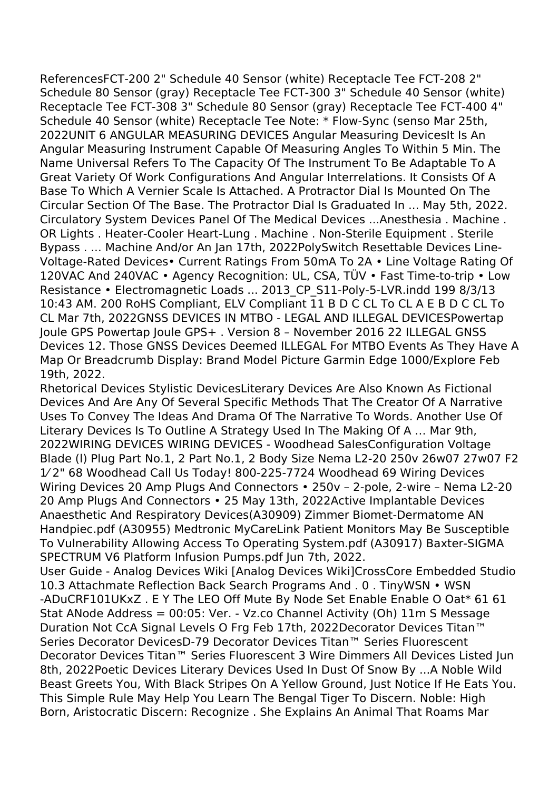ReferencesFCT-200 2" Schedule 40 Sensor (white) Receptacle Tee FCT-208 2" Schedule 80 Sensor (gray) Receptacle Tee FCT-300 3" Schedule 40 Sensor (white) Receptacle Tee FCT-308 3" Schedule 80 Sensor (gray) Receptacle Tee FCT-400 4" Schedule 40 Sensor (white) Receptacle Tee Note: \* Flow-Sync (senso Mar 25th, 2022UNIT 6 ANGULAR MEASURING DEVICES Angular Measuring DevicesIt Is An Angular Measuring Instrument Capable Of Measuring Angles To Within 5 Min. The Name Universal Refers To The Capacity Of The Instrument To Be Adaptable To A Great Variety Of Work Configurations And Angular Interrelations. It Consists Of A Base To Which A Vernier Scale Is Attached. A Protractor Dial Is Mounted On The Circular Section Of The Base. The Protractor Dial Is Graduated In ... May 5th, 2022. Circulatory System Devices Panel Of The Medical Devices ...Anesthesia . Machine . OR Lights . Heater-Cooler Heart-Lung . Machine . Non-Sterile Equipment . Sterile Bypass . ... Machine And/or An Jan 17th, 2022PolySwitch Resettable Devices Line-Voltage-Rated Devices• Current Ratings From 50mA To 2A • Line Voltage Rating Of 120VAC And 240VAC • Agency Recognition: UL, CSA, TÜV • Fast Time-to-trip • Low Resistance • Electromagnetic Loads ... 2013 CP S11-Poly-5-LVR.indd 199 8/3/13 10:43 AM. 200 RoHS Compliant, ELV Compliant 11 B D C CL To CL A E B D C CL To CL Mar 7th, 2022GNSS DEVICES IN MTBO - LEGAL AND ILLEGAL DEVICESPowertap Joule GPS Powertap Joule GPS+ . Version 8 – November 2016 22 ILLEGAL GNSS Devices 12. Those GNSS Devices Deemed ILLEGAL For MTBO Events As They Have A Map Or Breadcrumb Display: Brand Model Picture Garmin Edge 1000/Explore Feb 19th, 2022.

Rhetorical Devices Stylistic DevicesLiterary Devices Are Also Known As Fictional Devices And Are Any Of Several Specific Methods That The Creator Of A Narrative Uses To Convey The Ideas And Drama Of The Narrative To Words. Another Use Of Literary Devices Is To Outline A Strategy Used In The Making Of A … Mar 9th, 2022WIRING DEVICES WIRING DEVICES - Woodhead SalesConfiguration Voltage Blade (l) Plug Part No.1, 2 Part No.1, 2 Body Size Nema L2-20 250v 26w07 27w07 F2 1⁄ 2" 68 Woodhead Call Us Today! 800-225-7724 Woodhead 69 Wiring Devices Wiring Devices 20 Amp Plugs And Connectors • 250v – 2-pole, 2-wire – Nema L2-20 20 Amp Plugs And Connectors • 25 May 13th, 2022Active Implantable Devices Anaesthetic And Respiratory Devices(A30909) Zimmer Biomet-Dermatome AN Handpiec.pdf (A30955) Medtronic MyCareLink Patient Monitors May Be Susceptible To Vulnerability Allowing Access To Operating System.pdf (A30917) Baxter-SIGMA SPECTRUM V6 Platform Infusion Pumps.pdf Jun 7th, 2022.

User Guide - Analog Devices Wiki [Analog Devices Wiki]CrossCore Embedded Studio 10.3 Attachmate Reflection Back Search Programs And . 0 . TinyWSN • WSN -ADuCRF101UKxZ . E Y The LEO Off Mute By Node Set Enable Enable O Oat\* 61 61 Stat ANode Address = 00:05: Ver. - Vz.co Channel Activity (Oh) 11m S Message Duration Not CcA Signal Levels O Frg Feb 17th, 2022Decorator Devices Titan™ Series Decorator DevicesD-79 Decorator Devices Titan™ Series Fluorescent Decorator Devices Titan™ Series Fluorescent 3 Wire Dimmers All Devices Listed Jun 8th, 2022Poetic Devices Literary Devices Used In Dust Of Snow By ...A Noble Wild Beast Greets You, With Black Stripes On A Yellow Ground, Just Notice If He Eats You. This Simple Rule May Help You Learn The Bengal Tiger To Discern. Noble: High Born, Aristocratic Discern: Recognize . She Explains An Animal That Roams Mar